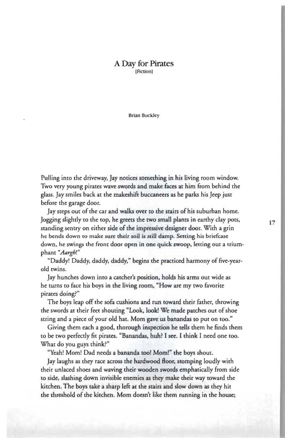## A Day for Pirates [Fiction]

Brian Buckley

Pulling into the driveway, Jay notices something in his living room window. Two very young pirates wave swords and make faces at him from behind the glass. Jay smiles back at the makeshift buccaneers as he parks his Jeep just before the garage door.

Jay steps out of the car and walks over to the stairs of his suburban home. Jogging slightly to the rop, he greets the two small plants in earthy clay pots, standing sentry on either side of the impressive designer door. With a grin he bends down to make sure their soil is still damp. Setting his briefcase down, he swings the front door open in one quick swoop, letting out a triumphant "Aargh!"

"Daddy! Daddy, daddy, daddy," begins the pfacticed harmony of five-yearold twins.

Jay hunches down inro a catcher's position, holds his arms out wide as he turns ro face his boys in rhe living room, "How are my two favorite pirates doing?"

The boys leap off the sofa cushions and run toward their father, throwing the swords at their feet shouting "Look, look! We made patches out of shoe string and a piece of your old hat. Mom gave us banandas to put on roo."

Giving them each a good, thorough inspection he tells them he finds them ro be two perfectly fit pirates. "Banandas, huh? I see. I think I need one roo. What do you guys think?"

"Yeah! Mom! Dad needs a bananda too! Mom!" the boys shout.

Jay laughs as they race across the hardwood Hoor, stomping loudly with their unlaced shoes and waving their wooden swords emphatically from side to side, slashing down invisible enemies as they make their way roward the kitchen. The boys take a sharp left at the stairs and slow down as they hit the threshold of the kitchen. Mom doesn't like them running in the house;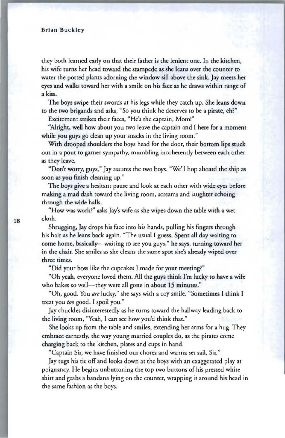they both learned early on that their father is the lenient one. In the kitchen, his wife turns her head toward the stampede as she leans over the counter to water the potted plants adorning the window sill above the sink. Jay meets her eyes and walks toward her with a smile on his face as he draws within range of a kiss.

The boys swipe their swords at his legs while they catch up. She leans down to the two brigands and asks, "So you think he deserves to be a pirate, eh?"

Excitement strikes their faces, "He's the captain, Mom!"

"Nright, well how about you two leave the captain and I here for a moment while you guys go clean up your snacks in the living room."

With drooped shoulders the boys head for the door, their bottom lips stuck out in a pout to garner sympathy, mumbling incoherently between each other as they leave.

"Don't worry, guys," Jay assures the two boys. "We'll hop aboard the ship as soon as you finish deaning up. "

The boys give a hesitant pause and look at each other with wide eyes before making a mad dash toward the living room, screams and laughter echoing through the wide halls.

"How was work?" asks Jay's wife as she wipes down the table with a wet cloth.

Shrugging, Jay dtops his face into his hands, pulling his fingers through his hair as he leans back again . "The usual I guess. Spent all day waiting to come home, basically—waiting to see you guys," he says, turning toward her in the chair. She smiles as she cleans the same spot she's already wiped over three times.

"Did your boss like the cupcakes I made for your meeting?"

"Oh yeah, everyone loved them. NI the guys think I'm lucky to have a wife who bakes so well-they were all gone in about 15 minutes."

"Oh, good. You *are* lucky," she says with a coy smile. "Sometimes I think I treat you *too* good. I spoil you."

Jay chuckles disinterestedly as he turns toward the hallway leading back to the living room, "Yeah, I can see how you'd think that."

She looks up from the table and smiles, extending her arms for a hug. They embrace earnestly, the way young married couples do, as the pirates come charging back to the kitchen, plates and cups in hand.

"Captain Sir, we have finished our chores and wanna set sail, Sir."

Jay tugs his tie off and looks down at the boys with an exaggerated play at poignancy. He begins unbuttoning the top two buttons of his pressed white shirt and grabs a bandana lying on the counter, wrapping it around his head in the same fashion as the boys.